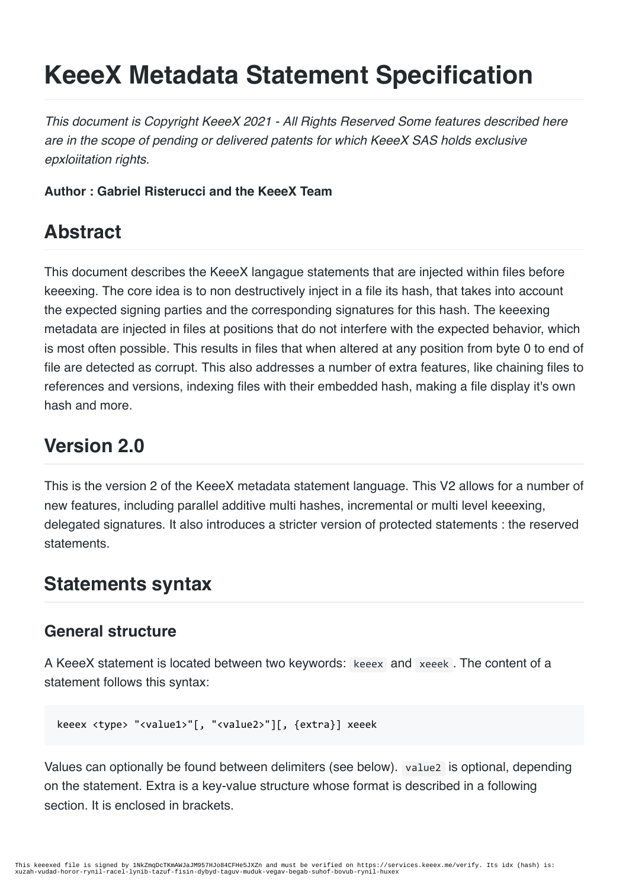# **KeeeX Metadata Statement Specification**

*This document is Copyright KeeeX 2021 - All Rights Reserved Some features described here are in the scope of pending or delivered patents for which KeeeX SAS holds exclusive epxloiitation rights.*

**Author : Gabriel Risterucci and the KeeeX Team**

# **Abstract**

This document describes the KeeeX langague statements that are injected within files before keeexing. The core idea is to non destructively inject in a file its hash, that takes into account the expected signing parties and the corresponding signatures for this hash. The keeexing metadata are injected in files at positions that do not interfere with the expected behavior, which is most often possible. This results in files that when altered at any position from byte 0 to end of file are detected as corrupt. This also addresses a number of extra features, like chaining files to references and versions, indexing files with their embedded hash, making a file display it's own hash and more.

# **Version 2.0**

This is the version 2 of the KeeeX metadata statement language. This V2 allows for a number of new features, including parallel additive multi hashes, incremental or multi level keeexing, delegated signatures. It also introduces a stricter version of protected statements : the reserved **statements** 

# **Statements syntax**

### **General structure**

A KeeeX statement is located between two keywords: keeex and xeeek . The content of a statement follows this syntax:

```
keeex <type> "<value1>"[, "<value2>"][, {extra}] xeeek
```
Values can optionally be found between delimiters (see below). value2 is optional, depending on the statement. Extra is a key-value structure whose format is described in a following section. It is enclosed in brackets.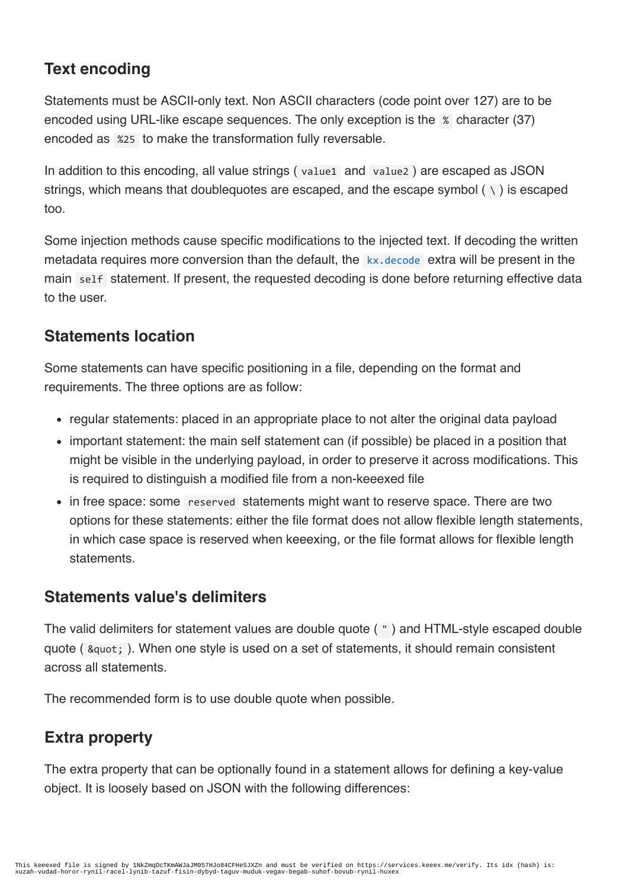### **Text encoding**

Statements must be ASCII-only text. Non ASCII characters (code point over 127) are to be encoded using URL-like escape sequences. The only exception is the % character (37) encoded as %25 to make the transformation fully reversable.

In addition to this encoding, all value strings ( value1 and value2 ) are escaped as JSON strings, which means that doublequotes are escaped, and the escape symbol  $( \nabla )$  is escaped too.

Some injection methods cause specific modifications to the injected text. If decoding the written metadata requires more conversion than the default, the kx, decode extra will be present in the main self statement. If present, the requested decoding is done before returning effective data to the user.

### **Statements location**

Some statements can have specific positioning in a file, depending on the format and requirements. The three options are as follow:

- regular statements: placed in an appropriate place to not alter the original data payload
- important statement: the main self statement can (if possible) be placed in a position that might be visible in the underlying payload, in order to preserve it across modifications. This is required to distinguish a modified file from a non-keeexed file
- in free space: some reserved statements might want to reserve space. There are two options for these statements: either the file format does not allow flexible length statements, in which case space is reserved when keeexing, or the file format allows for flexible length **statements**

### **Statements value's delimiters**

The valid delimiters for statement values are double quote ( " ) and HTML-style escaped double quote ( $\alpha$ quot;). When one style is used on a set of statements, it should remain consistent across all statements.

The recommended form is to use double quote when possible.

### **Extra property**

The extra property that can be optionally found in a statement allows for defining a key-value object. It is loosely based on JSON with the following differences: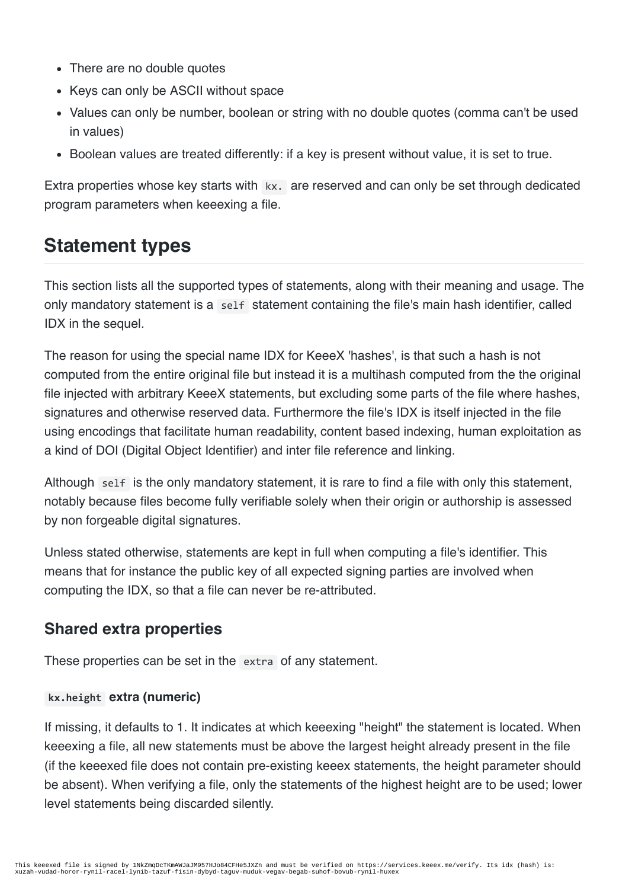- There are no double quotes
- Keys can only be ASCII without space
- Values can only be number, boolean or string with no double quotes (comma can't be used in values)
- Boolean values are treated differently: if a key is present without value, it is set to true.

Extra properties whose key starts with  $kx$ . are reserved and can only be set through dedicated program parameters when keeexing a file.

# **Statement types**

This section lists all the supported types of statements, along with their meaning and usage. The only mandatory statement is a self statement containing the file's main hash identifier, called IDX in the sequel.

The reason for using the special name IDX for KeeeX 'hashes', is that such a hash is not computed from the entire original file but instead it is a multihash computed from the the original file injected with arbitrary KeeeX statements, but excluding some parts of the file where hashes, signatures and otherwise reserved data. Furthermore the file's IDX is itself injected in the file using encodings that facilitate human readability, content based indexing, human exploitation as a kind of DOI (Digital Object Identifier) and inter file reference and linking.

Although self is the only mandatory statement, it is rare to find a file with only this statement, notably because files become fully verifiable solely when their origin or authorship is assessed by non forgeable digital signatures.

Unless stated otherwise, statements are kept in full when computing a file's identifier. This means that for instance the public key of all expected signing parties are involved when computing the IDX, so that a file can never be re-attributed.

### **Shared extra properties**

These properties can be set in the extra of any statement.

#### **kx.height extra (numeric)**

If missing, it defaults to 1. It indicates at which keeexing "height" the statement is located. When keeexing a file, all new statements must be above the largest height already present in the file (if the keeexed file does not contain pre-existing keeex statements, the height parameter should be absent). When verifying a file, only the statements of the highest height are to be used; lower level statements being discarded silently.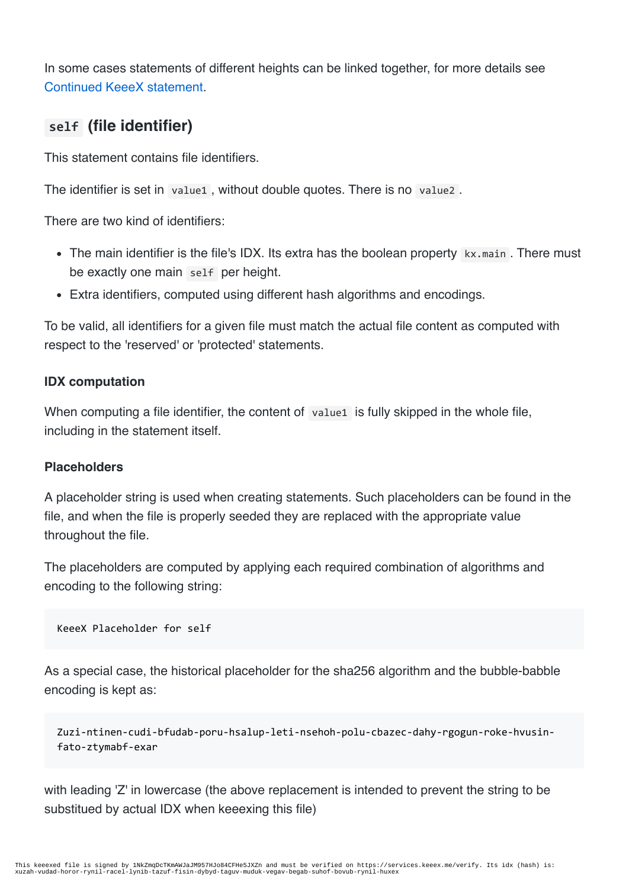In some cases statements of different heights can be linked together, for more details see Continued KeeeX statement.

### **self (file identifier)**

This statement contains file identifiers.

The identifier is set in value1, without double quotes. There is no value2.

There are two kind of identifiers:

- The main identifier is the file's IDX. Its extra has the boolean property kx.main. There must be exactly one main self per height.
- Extra identifiers, computed using different hash algorithms and encodings.

To be valid, all identifiers for a given file must match the actual file content as computed with respect to the 'reserved' or 'protected' statements.

#### **IDX computation**

When computing a file identifier, the content of valuel is fully skipped in the whole file, including in the statement itself.

#### **Placeholders**

A placeholder string is used when creating statements. Such placeholders can be found in the file, and when the file is properly seeded they are replaced with the appropriate value throughout the file.

The placeholders are computed by applying each required combination of algorithms and encoding to the following string:

```
KeeeX Placeholder for self
```
As a special case, the historical placeholder for the sha256 algorithm and the bubble-babble encoding is kept as:

Zuzi-ntinen-cudi-bfudab-poru-hsalup-leti-nsehoh-polu-cbazec-dahy-rgogun-roke-hvusinfato-ztymabf-exar

with leading 'Z' in lowercase (the above replacement is intended to prevent the string to be substitued by actual IDX when keeexing this file)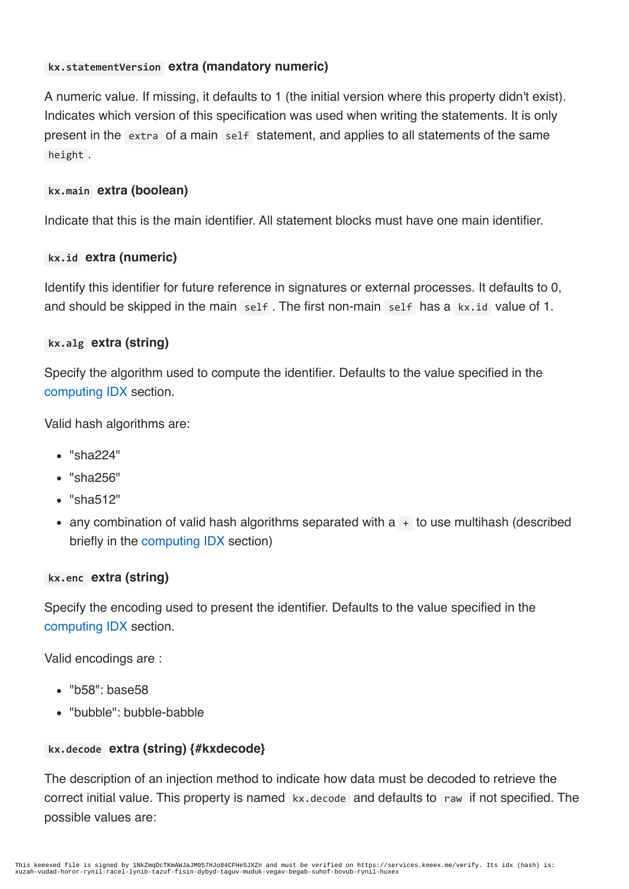#### **kx.statementVersion extra (mandatory numeric)**

A numeric value. If missing, it defaults to 1 (the initial version where this property didn't exist). Indicates which version of this specification was used when writing the statements. It is only present in the extra of a main self statement, and applies to all statements of the same height .

#### **kx.main extra (boolean)**

Indicate that this is the main identifier. All statement blocks must have one main identifier.

#### **kx.id extra (numeric)**

Identify this identifier for future reference in signatures or external processes. It defaults to 0, and should be skipped in the main self. The first non-main self has a kx.id value of 1.

#### **kx.alg extra (string)**

Specify the algorithm used to compute the identifier. Defaults to the value specified in the computing IDX section.

Valid hash algorithms are:

- "sha224"
- "sha256"
- "sha512"
- any combination of valid hash algorithms separated with  $a + to$  use multihash (described briefly in the computing IDX section)

#### **kx.enc extra (string)**

Specify the encoding used to present the identifier. Defaults to the value specified in the computing IDX section.

Valid encodings are :

- "b58": base58
- "bubble": bubble-babble

#### **kx.decode extra (string) {#kxdecode}**

The description of an injection method to indicate how data must be decoded to retrieve the correct initial value. This property is named kx.decode and defaults to raw if not specified. The possible values are: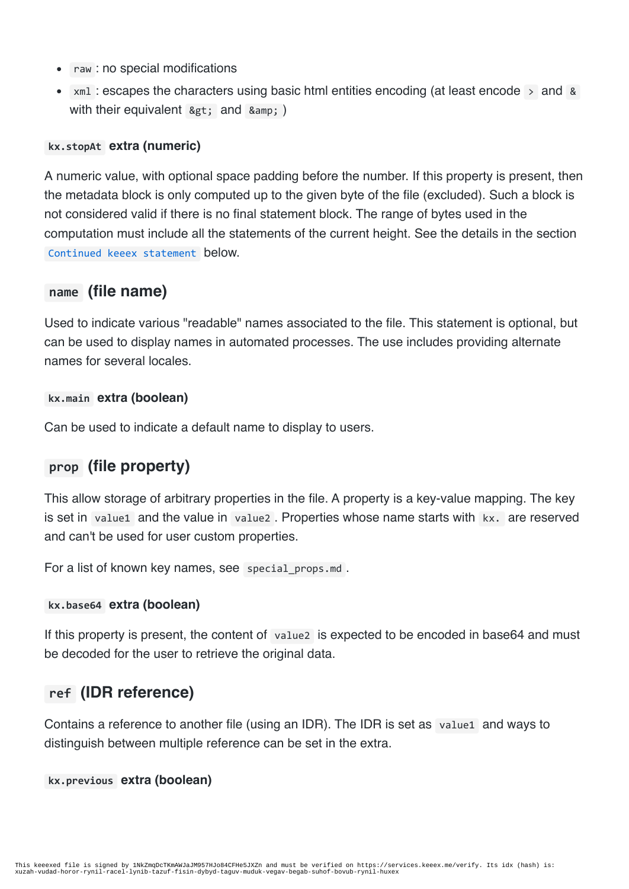- raw : no special modifications
- $xml$  : escapes the characters using basic html entities encoding (at least encode  $\rightarrow$  and & with their equivalent  $>$ ; and  $&$ amp; )

#### **kx.stopAt extra (numeric)**

A numeric value, with optional space padding before the number. If this property is present, then the metadata block is only computed up to the given byte of the file (excluded). Such a block is not considered valid if there is no final statement block. The range of bytes used in the computation must include all the statements of the current height. See the details in the section Continued keeex statement below.

#### **name (file name)**

Used to indicate various "readable" names associated to the file. This statement is optional, but can be used to display names in automated processes. The use includes providing alternate names for several locales.

#### **kx.main extra (boolean)**

Can be used to indicate a default name to display to users.

### **prop (file property)**

This allow storage of arbitrary properties in the file. A property is a key-value mapping. The key is set in value1 and the value in value2. Properties whose name starts with kx. are reserved and can't be used for user custom properties.

For a list of known key names, see special props.md.

#### **kx.base64 extra (boolean)**

If this property is present, the content of value2 is expected to be encoded in base64 and must be decoded for the user to retrieve the original data.

#### **ref (IDR reference)**

Contains a reference to another file (using an IDR). The IDR is set as value1 and ways to distinguish between multiple reference can be set in the extra.

#### **kx.previous extra (boolean)**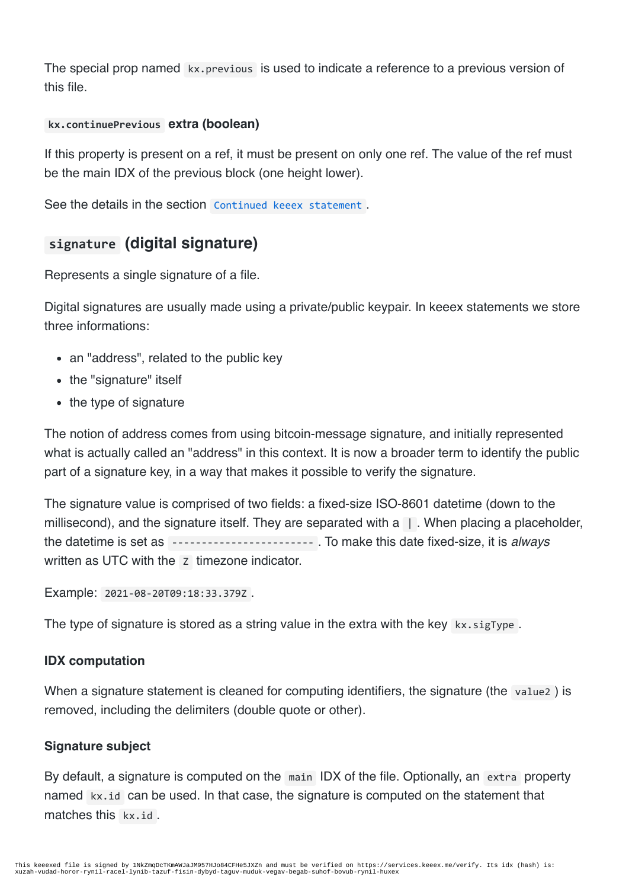The special prop named kx.previous is used to indicate a reference to a previous version of this file.

#### **kx.continuePrevious extra (boolean)**

If this property is present on a ref, it must be present on only one ref. The value of the ref must be the main IDX of the previous block (one height lower).

See the details in the section Continued keeex statement.

### **signature (digital signature)**

Represents a single signature of a file.

Digital signatures are usually made using a private/public keypair. In keeex statements we store three informations:

- an "address", related to the public key
- the "signature" itself
- the type of signature

The notion of address comes from using bitcoin-message signature, and initially represented what is actually called an "address" in this context. It is now a broader term to identify the public part of a signature key, in a way that makes it possible to verify the signature.

The signature value is comprised of two fields: a fixed-size ISO-8601 datetime (down to the millisecond), and the signature itself. They are separated with a  $\Box$ . When placing a placeholder, the datetime is set as ------------------------ . To make this date fixed-size, it is *always* written as UTC with the z timezone indicator.

Example: 2021-08-20T09:18:33.379Z .

The type of signature is stored as a string value in the extra with the key  $kx \cdot \text{signype}$ .

#### **IDX computation**

When a signature statement is cleaned for computing identifiers, the signature (the value2) is removed, including the delimiters (double quote or other).

#### **Signature subject**

By default, a signature is computed on the main IDX of the file. Optionally, an extra property named kx.id can be used. In that case, the signature is computed on the statement that matches this kx.id.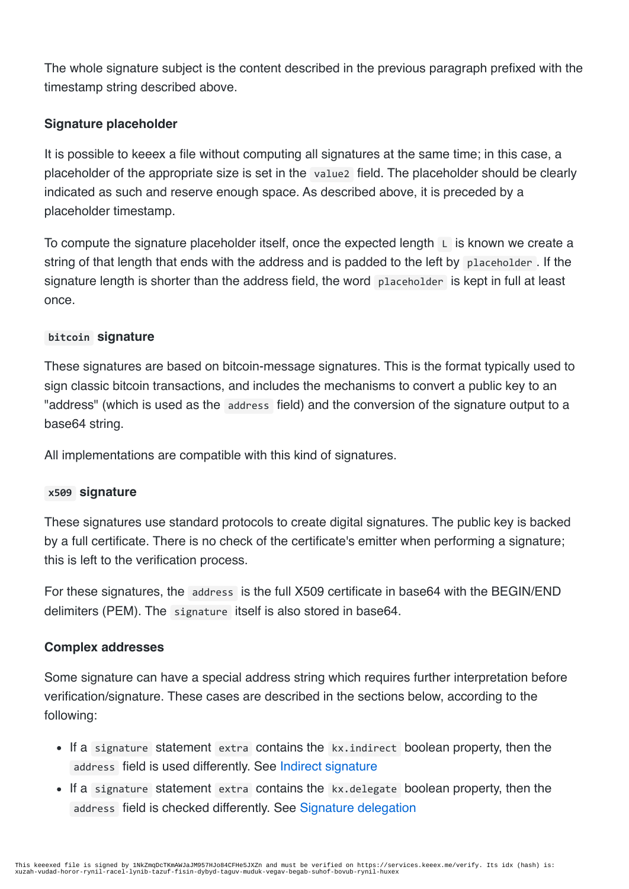The whole signature subject is the content described in the previous paragraph prefixed with the timestamp string described above.

#### **Signature placeholder**

It is possible to keeex a file without computing all signatures at the same time; in this case, a placeholder of the appropriate size is set in the value2 field. The placeholder should be clearly indicated as such and reserve enough space. As described above, it is preceded by a placeholder timestamp.

To compute the signature placeholder itself, once the expected length  $\mathsf{L}$  is known we create a string of that length that ends with the address and is padded to the left by placeholder . If the signature length is shorter than the address field, the word placeholder is kept in full at least once.

#### **bitcoin signature**

These signatures are based on bitcoin-message signatures. This is the format typically used to sign classic bitcoin transactions, and includes the mechanisms to convert a public key to an "address" (which is used as the address field) and the conversion of the signature output to a base64 string.

All implementations are compatible with this kind of signatures.

#### **x509 signature**

These signatures use standard protocols to create digital signatures. The public key is backed by a full certificate. There is no check of the certificate's emitter when performing a signature; this is left to the verification process.

For these signatures, the address is the full X509 certificate in base64 with the BEGIN/END delimiters (PEM). The signature itself is also stored in base64.

#### **Complex addresses**

Some signature can have a special address string which requires further interpretation before verification/signature. These cases are described in the sections below, according to the following:

- If a signature statement extra contains the kx.indirect boolean property, then the address field is used differently. See Indirect signature
- If a signature statement extra contains the kx.delegate boolean property, then the address field is checked differently. See Signature delegation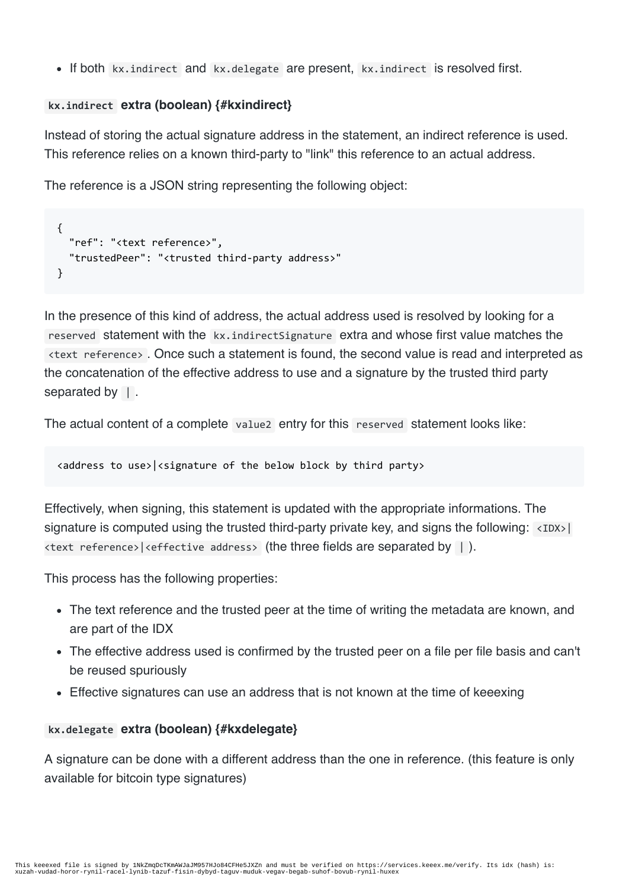• If both kx.indirect and kx.delegate are present, kx.indirect is resolved first.

#### **kx.indirect extra (boolean) {#kxindirect}**

Instead of storing the actual signature address in the statement, an indirect reference is used. This reference relies on a known third-party to "link" this reference to an actual address.

The reference is a JSON string representing the following object:

```
{
  "ref": "<text reference>",
  "trustedPeer": "<trusted third-party address>"
}
```
In the presence of this kind of address, the actual address used is resolved by looking for a reserved statement with the kx.indirectSignature extra and whose first value matches the <text reference> . Once such a statement is found, the second value is read and interpreted as the concatenation of the effective address to use and a signature by the trusted third party separated by  $\vert$ .

The actual content of a complete value2 entry for this reserved statement looks like:

<address to use>|<signature of the below block by third party>

Effectively, when signing, this statement is updated with the appropriate informations. The signature is computed using the trusted third-party private key, and signs the following:  $\langle$ IDX> $|$  $\langle$ text reference>| $\langle$ effective address> (the three fields are separated by  $\vert$ ).

This process has the following properties:

- The text reference and the trusted peer at the time of writing the metadata are known, and are part of the IDX
- The effective address used is confirmed by the trusted peer on a file per file basis and can't be reused spuriously
- Effective signatures can use an address that is not known at the time of keeexing

#### **kx.delegate extra (boolean) {#kxdelegate}**

A signature can be done with a different address than the one in reference. (this feature is only available for bitcoin type signatures)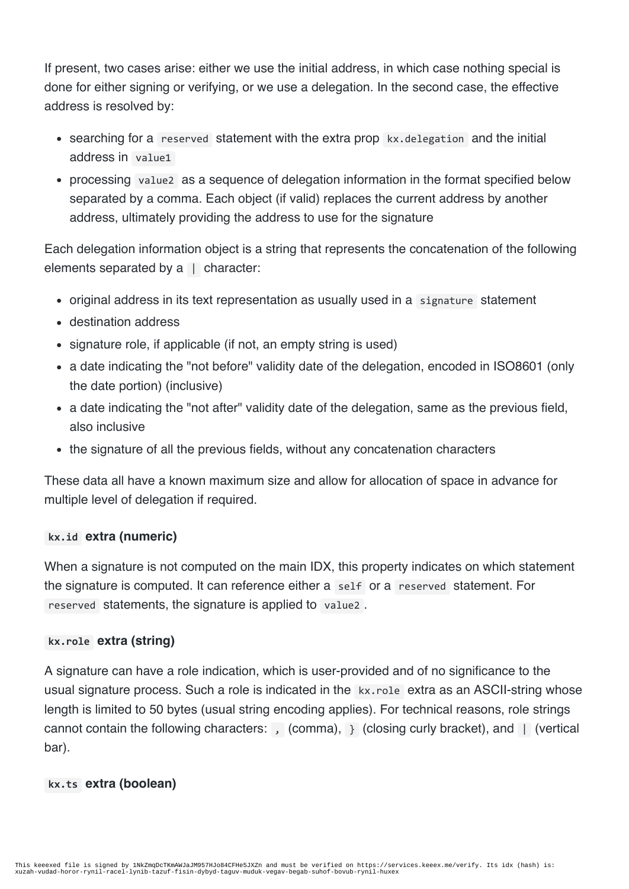If present, two cases arise: either we use the initial address, in which case nothing special is done for either signing or verifying, or we use a delegation. In the second case, the effective address is resolved by:

- searching for a reserved statement with the extra prop kx.delegation and the initial address in value1
- processing value2 as a sequence of delegation information in the format specified below separated by a comma. Each object (if valid) replaces the current address by another address, ultimately providing the address to use for the signature

Each delegation information object is a string that represents the concatenation of the following elements separated by a | character:

- original address in its text representation as usually used in a signature statement
- destination address
- signature role, if applicable (if not, an empty string is used)
- a date indicating the "not before" validity date of the delegation, encoded in ISO8601 (only the date portion) (inclusive)
- a date indicating the "not after" validity date of the delegation, same as the previous field, also inclusive
- the signature of all the previous fields, without any concatenation characters

These data all have a known maximum size and allow for allocation of space in advance for multiple level of delegation if required.

#### **kx.id extra (numeric)**

When a signature is not computed on the main IDX, this property indicates on which statement the signature is computed. It can reference either a self or a reserved statement. For reserved statements, the signature is applied to value2 .

#### **kx.role extra (string)**

A signature can have a role indication, which is user-provided and of no significance to the usual signature process. Such a role is indicated in the kx.role extra as an ASCII-string whose length is limited to 50 bytes (usual string encoding applies). For technical reasons, role strings cannot contain the following characters: , (comma), } (closing curly bracket), and | (vertical bar).

#### **kx.ts extra (boolean)**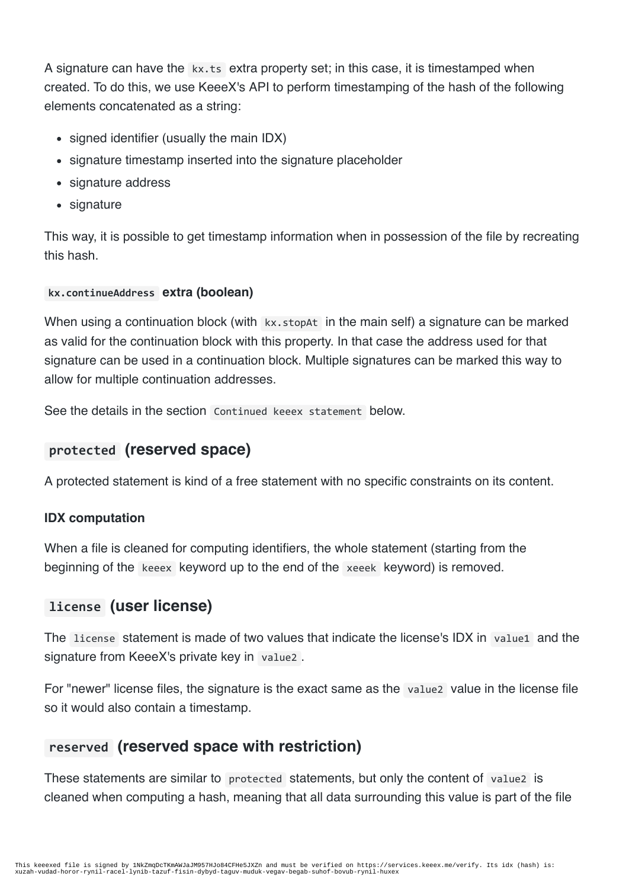A signature can have the kx.ts extra property set; in this case, it is timestamped when created. To do this, we use KeeeX's API to perform timestamping of the hash of the following elements concatenated as a string:

- signed identifier (usually the main IDX)
- signature timestamp inserted into the signature placeholder
- signature address
- signature

This way, it is possible to get timestamp information when in possession of the file by recreating this hash.

#### **kx.continueAddress extra (boolean)**

When using a continuation block (with kx.stopAt in the main self) a signature can be marked as valid for the continuation block with this property. In that case the address used for that signature can be used in a continuation block. Multiple signatures can be marked this way to allow for multiple continuation addresses.

See the details in the section Continued keeex statement below.

### **protected (reserved space)**

A protected statement is kind of a free statement with no specific constraints on its content.

#### **IDX computation**

When a file is cleaned for computing identifiers, the whole statement (starting from the beginning of the keeex keyword up to the end of the xeeek keyword) is removed.

### **license (user license)**

The license statement is made of two values that indicate the license's IDX in value1 and the signature from KeeeX's private key in value2 .

For "newer" license files, the signature is the exact same as the valuez value in the license file so it would also contain a timestamp.

### **reserved (reserved space with restriction)**

These statements are similar to protected statements, but only the content of value2 is cleaned when computing a hash, meaning that all data surrounding this value is part of the file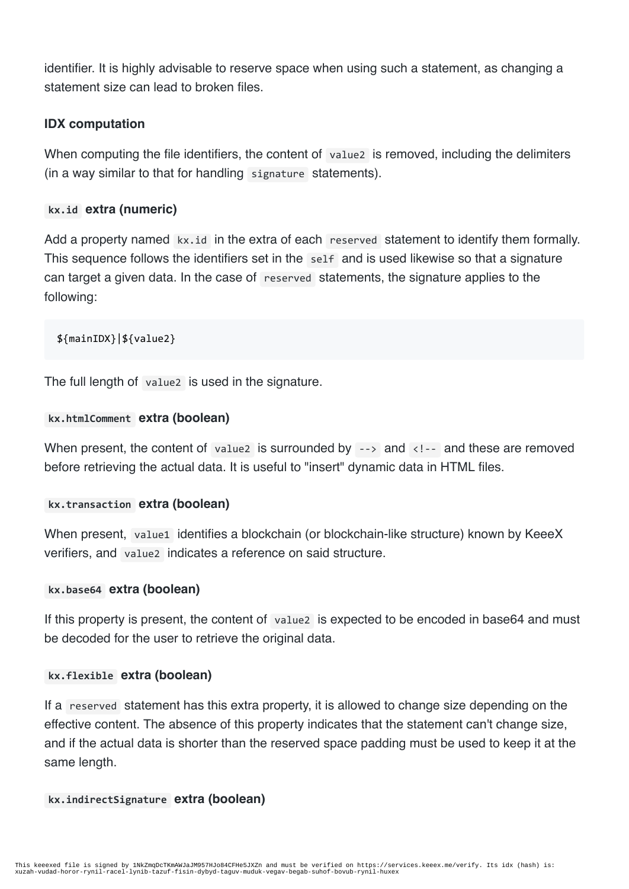identifier. It is highly advisable to reserve space when using such a statement, as changing a statement size can lead to broken files.

#### **IDX computation**

When computing the file identifiers, the content of valuez is removed, including the delimiters (in a way similar to that for handling signature statements).

#### **kx.id extra (numeric)**

Add a property named kx.id in the extra of each reserved statement to identify them formally. This sequence follows the identifiers set in the self and is used likewise so that a signature can target a given data. In the case of reserved statements, the signature applies to the following:

\${mainIDX}|\${value2}

The full length of value2 is used in the signature.

#### **kx.htmlComment extra (boolean)**

When present, the content of value is surrounded by  $\rightarrow$  and  $\left\langle \cdot \right\rangle$  and these are removed before retrieving the actual data. It is useful to "insert" dynamic data in HTML files.

#### **kx.transaction extra (boolean)**

When present, value1 identifies a blockchain (or blockchain-like structure) known by KeeeX verifiers, and value2 indicates a reference on said structure.

#### **kx.base64 extra (boolean)**

If this property is present, the content of value2 is expected to be encoded in base64 and must be decoded for the user to retrieve the original data.

#### **kx.flexible extra (boolean)**

If a reserved statement has this extra property, it is allowed to change size depending on the effective content. The absence of this property indicates that the statement can't change size, and if the actual data is shorter than the reserved space padding must be used to keep it at the same length.

#### **kx.indirectSignature extra (boolean)**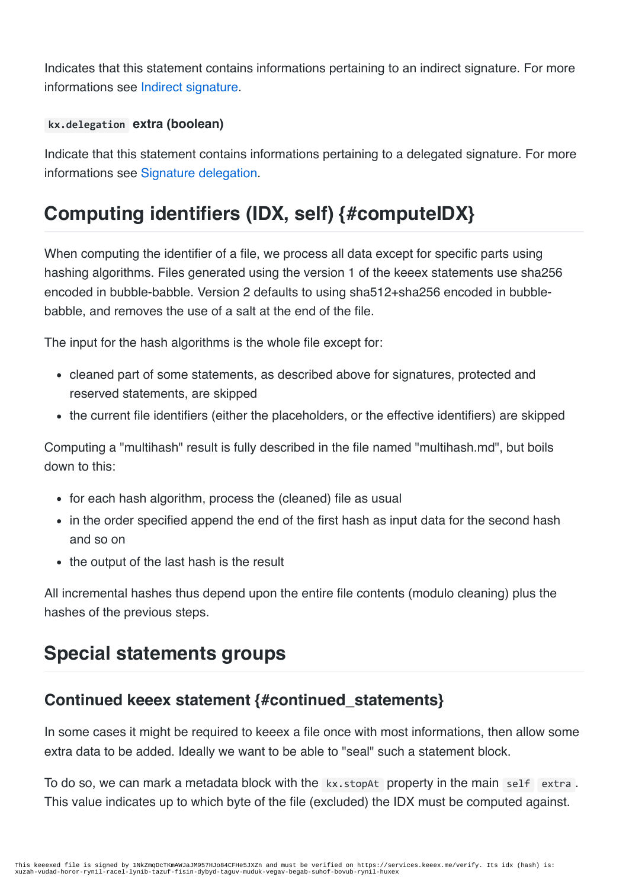Indicates that this statement contains informations pertaining to an indirect signature. For more informations see Indirect signature.

#### **kx.delegation extra (boolean)**

Indicate that this statement contains informations pertaining to a delegated signature. For more informations see Signature delegation.

# **Computing identifiers (IDX, self) {#computeIDX}**

When computing the identifier of a file, we process all data except for specific parts using hashing algorithms. Files generated using the version 1 of the keeex statements use sha256 encoded in bubble-babble. Version 2 defaults to using sha512+sha256 encoded in bubblebabble, and removes the use of a salt at the end of the file.

The input for the hash algorithms is the whole file except for:

- cleaned part of some statements, as described above for signatures, protected and reserved statements, are skipped
- the current file identifiers (either the placeholders, or the effective identifiers) are skipped

Computing a "multihash" result is fully described in the file named "multihash.md", but boils down to this:

- for each hash algorithm, process the (cleaned) file as usual
- in the order specified append the end of the first hash as input data for the second hash and so on
- the output of the last hash is the result

All incremental hashes thus depend upon the entire file contents (modulo cleaning) plus the hashes of the previous steps.

# **Special statements groups**

### **Continued keeex statement {#continued\_statements}**

In some cases it might be required to keeex a file once with most informations, then allow some extra data to be added. Ideally we want to be able to "seal" such a statement block.

To do so, we can mark a metadata block with the kx.stopAt property in the main self extra. This value indicates up to which byte of the file (excluded) the IDX must be computed against.